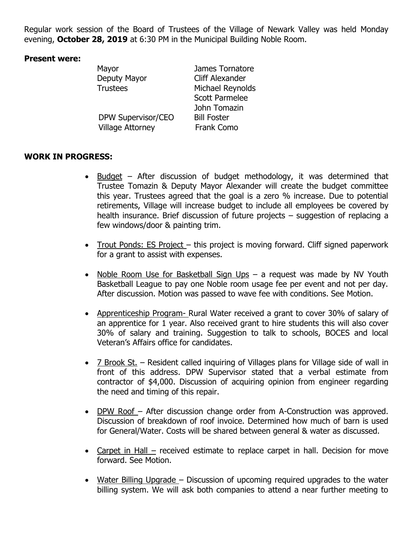Regular work session of the Board of Trustees of the Village of Newark Valley was held Monday evening, **October 28, 2019** at 6:30 PM in the Municipal Building Noble Room.

## **Present were:**

| Mayor                   | James Tornatore        |
|-------------------------|------------------------|
| Deputy Mayor            | <b>Cliff Alexander</b> |
| <b>Trustees</b>         | Michael Reynolds       |
|                         | <b>Scott Parmelee</b>  |
|                         | John Tomazin           |
| DPW Supervisor/CEO      | <b>Bill Foster</b>     |
| <b>Village Attorney</b> | <b>Frank Como</b>      |
|                         |                        |

## **WORK IN PROGRESS:**

- Budget After discussion of budget methodology, it was determined that Trustee Tomazin & Deputy Mayor Alexander will create the budget committee this year. Trustees agreed that the goal is a zero % increase. Due to potential retirements, Village will increase budget to include all employees be covered by health insurance. Brief discussion of future projects – suggestion of replacing a few windows/door & painting trim.
- Trout Ponds: ES Project this project is moving forward. Cliff signed paperwork for a grant to assist with expenses.
- Noble Room Use for Basketball Sign Ups a request was made by NV Youth Basketball League to pay one Noble room usage fee per event and not per day. After discussion. Motion was passed to wave fee with conditions. See Motion.
- Apprenticeship Program- Rural Water received a grant to cover 30% of salary of an apprentice for 1 year. Also received grant to hire students this will also cover 30% of salary and training. Suggestion to talk to schools, BOCES and local Veteran's Affairs office for candidates.
- 7 Brook St. Resident called inquiring of Villages plans for Village side of wall in front of this address. DPW Supervisor stated that a verbal estimate from contractor of \$4,000. Discussion of acquiring opinion from engineer regarding the need and timing of this repair.
- DPW Roof After discussion change order from A-Construction was approved. Discussion of breakdown of roof invoice. Determined how much of barn is used for General/Water. Costs will be shared between general & water as discussed.
- Carpet in Hall received estimate to replace carpet in hall. Decision for move forward. See Motion.
- Water Billing Upgrade Discussion of upcoming required upgrades to the water billing system. We will ask both companies to attend a near further meeting to